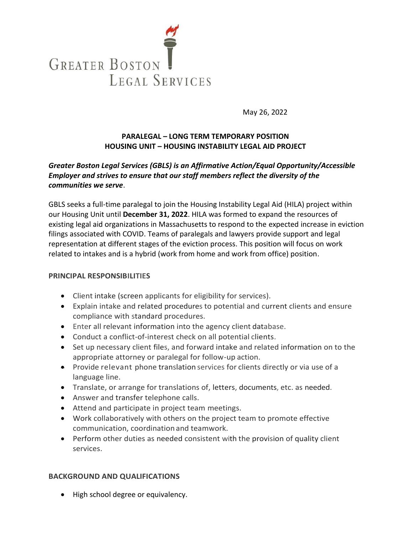

May 26, 2022

## **PARALEGAL – LONG TERM TEMPORARY POSITION HOUSING UNIT – HOUSING INSTABILITY LEGAL AID PROJECT**

## *Greater Boston Legal Services (GBLS) is an Affirmative Action/Equal Opportunity/Accessible Employer and strives to ensure that our staff members reflect the diversity of the communities we serve*.

GBLS seeks a full-time paralegal to join the Housing Instability Legal Aid (HILA) project within our Housing Unit until **December 31, 2022**. HILA was formed to expand the resources of existing legal aid organizations in Massachusetts to respond to the expected increase in eviction filings associated with COVID. Teams of paralegals and lawyers provide support and legal representation at different stages of the eviction process. This position will focus on work related to intakes and is a hybrid (work from home and work from office) position.

## **PRINCIPAL RESPONSIBILITIES**

- Client intake (screen applicants for eligibility for services).
- Explain intake and related procedures to potential and current clients and ensure compliance with standard procedures.
- Enter all relevant information into the agency client database.
- Conduct a conflict-of-interest check on all potential clients.
- Set up necessary client files, and forward intake and related information on to the appropriate attorney or paralegal for follow-up action.
- **•** Provide relevant phone translation services for clients directly or via use of a language line.
- Translate, or arrange for translations of, letters, documents, etc. as needed.
- Answer and transfer telephone calls.
- Attend and participate in project team meetings.
- Work collaboratively with others on the project team to promote effective communication, coordination and teamwork.
- Perform other duties as needed consistent with the provision of quality client services.

## **BACKGROUND AND QUALIFICATIONS**

• High school degree or equivalency.